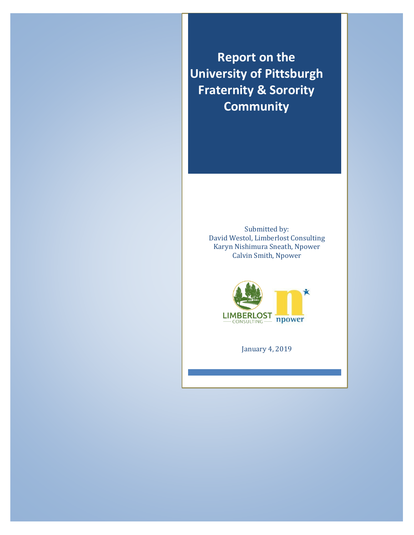**Report on the University of Pittsburgh Fraternity & Sorority Community**

> Submitted by: David Westol, Limberlost Consulting Karyn Nishimura Sneath, Npower Calvin Smith, Npower



January 4, 2019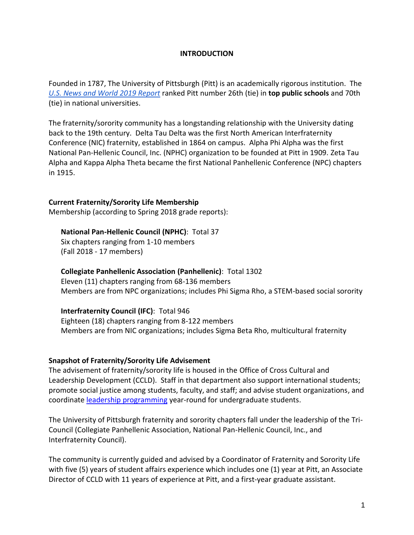### **INTRODUCTION**

Founded in 1787, The University of Pittsburgh (Pitt) is an academically rigorous institution. The *[U.S. News and World 2019 Report](https://www.usnews.com/best-colleges/university-of-pittsburgh-3379/overall-rankings)* ranked Pitt number 26th (tie) in **top public schools** and 70th (tie) in national universities.

The fraternity/sorority community has a longstanding relationship with the University dating back to the 19th century. Delta Tau Delta was the first North American Interfraternity Conference (NIC) fraternity, established in 1864 on campus. Alpha Phi Alpha was the first National Pan-Hellenic Council, Inc. (NPHC) organization to be founded at Pitt in 1909. Zeta Tau Alpha and Kappa Alpha Theta became the first National Panhellenic Conference (NPC) chapters in 1915.

### **Current Fraternity/Sorority Life Membership**

Membership (according to Spring 2018 grade reports):

# **National Pan-Hellenic Council (NPHC)**: Total 37

Six chapters ranging from 1-10 members (Fall 2018 - 17 members)

### **Collegiate Panhellenic Association (Panhellenic)**: Total 1302

Eleven (11) chapters ranging from 68-136 members Members are from NPC organizations; includes Phi Sigma Rho, a STEM-based social sorority

### **Interfraternity Council (IFC)**: Total 946

Eighteen (18) chapters ranging from 8-122 members Members are from NIC organizations; includes Sigma Beta Rho, multicultural fraternity

### **Snapshot of Fraternity/Sorority Life Advisement**

The advisement of fraternity/sorority life is housed in the Office of Cross Cultural and Leadership Development (CCLD). Staff in that department also support international students; promote social justice among students, faculty, and staff; and advise student organizations, and coordinate **leadership programming** year-round for undergraduate students.

The University of Pittsburgh fraternity and sorority chapters fall under the leadership of the Tri-Council (Collegiate Panhellenic Association, National Pan-Hellenic Council, Inc., and Interfraternity Council).

The community is currently guided and advised by a Coordinator of Fraternity and Sorority Life with five (5) years of student affairs experience which includes one (1) year at Pitt, an Associate Director of CCLD with 11 years of experience at Pitt, and a first-year graduate assistant.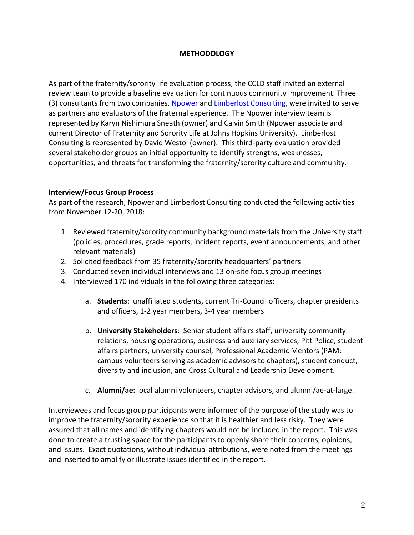# **METHODOLOGY**

As part of the fraternity/sorority life evaluation process, the CCLD staff invited an external review team to provide a baseline evaluation for continuous community improvement. Three (3) consultants from two companies, [Npower](http://npoweryourself.com/) and [Limberlost Consulting,](http://limberlostconsulting.com/) were invited to serve as partners and evaluators of the fraternal experience. The Npower interview team is represented by Karyn Nishimura Sneath (owner) and Calvin Smith (Npower associate and current Director of Fraternity and Sorority Life at Johns Hopkins University). Limberlost Consulting is represented by David Westol (owner). This third-party evaluation provided several stakeholder groups an initial opportunity to identify strengths, weaknesses, opportunities, and threats for transforming the fraternity/sorority culture and community.

### **Interview/Focus Group Process**

As part of the research, Npower and Limberlost Consulting conducted the following activities from November 12-20, 2018:

- 1. Reviewed fraternity/sorority community background materials from the University staff (policies, procedures, grade reports, incident reports, event announcements, and other relevant materials)
- 2. Solicited feedback from 35 fraternity/sorority headquarters' partners
- 3. Conducted seven individual interviews and 13 on-site focus group meetings
- 4. Interviewed 170 individuals in the following three categories:
	- a. **Students**: unaffiliated students, current Tri-Council officers, chapter presidents and officers, 1-2 year members, 3-4 year members
	- b. **University Stakeholders**: Senior student affairs staff, university community relations, housing operations, business and auxiliary services, Pitt Police, student affairs partners, university counsel, Professional Academic Mentors (PAM: campus volunteers serving as academic advisors to chapters), student conduct, diversity and inclusion, and Cross Cultural and Leadership Development.
	- c. **Alumni/ae:** local alumni volunteers, chapter advisors, and alumni/ae-at-large.

Interviewees and focus group participants were informed of the purpose of the study was to improve the fraternity/sorority experience so that it is healthier and less risky. They were assured that all names and identifying chapters would not be included in the report. This was done to create a trusting space for the participants to openly share their concerns, opinions, and issues. Exact quotations, without individual attributions, were noted from the meetings and inserted to amplify or illustrate issues identified in the report.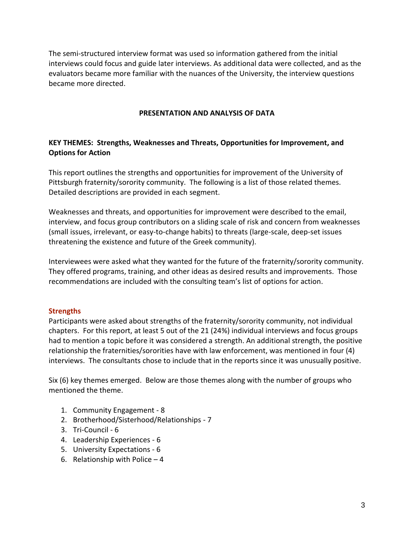The semi-structured interview format was used so information gathered from the initial interviews could focus and guide later interviews. As additional data were collected, and as the evaluators became more familiar with the nuances of the University, the interview questions became more directed.

### **PRESENTATION AND ANALYSIS OF DATA**

# **KEY THEMES: Strengths, Weaknesses and Threats, Opportunities for Improvement, and Options for Action**

This report outlines the strengths and opportunities for improvement of the University of Pittsburgh fraternity/sorority community. The following is a list of those related themes. Detailed descriptions are provided in each segment.

Weaknesses and threats, and opportunities for improvement were described to the email, interview, and focus group contributors on a sliding scale of risk and concern from weaknesses (small issues, irrelevant, or easy-to-change habits) to threats (large-scale, deep-set issues threatening the existence and future of the Greek community).

Interviewees were asked what they wanted for the future of the fraternity/sorority community. They offered programs, training, and other ideas as desired results and improvements. Those recommendations are included with the consulting team's list of options for action.

# **Strengths**

Participants were asked about strengths of the fraternity/sorority community, not individual chapters. For this report, at least 5 out of the 21 (24%) individual interviews and focus groups had to mention a topic before it was considered a strength. An additional strength, the positive relationship the fraternities/sororities have with law enforcement, was mentioned in four (4) interviews. The consultants chose to include that in the reports since it was unusually positive.

Six (6) key themes emerged. Below are those themes along with the number of groups who mentioned the theme.

- 1. Community Engagement 8
- 2. Brotherhood/Sisterhood/Relationships 7
- 3. Tri-Council 6
- 4. Leadership Experiences 6
- 5. University Expectations 6
- 6. Relationship with Police  $-4$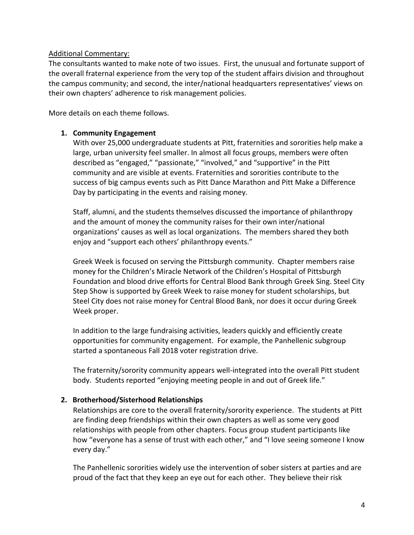### Additional Commentary:

The consultants wanted to make note of two issues. First, the unusual and fortunate support of the overall fraternal experience from the very top of the student affairs division and throughout the campus community; and second, the inter/national headquarters representatives' views on their own chapters' adherence to risk management policies.

More details on each theme follows.

# **1. Community Engagement**

With over 25,000 undergraduate students at Pitt, fraternities and sororities help make a large, urban university feel smaller. In almost all focus groups, members were often described as "engaged," "passionate," "involved," and "supportive" in the Pitt community and are visible at events. Fraternities and sororities contribute to the success of big campus events such as Pitt Dance Marathon and Pitt Make a Difference Day by participating in the events and raising money.

Staff, alumni, and the students themselves discussed the importance of philanthropy and the amount of money the community raises for their own inter/national organizations' causes as well as local organizations. The members shared they both enjoy and "support each others' philanthropy events."

Greek Week is focused on serving the Pittsburgh community. Chapter members raise money for the Children's Miracle Network of the Children's Hospital of Pittsburgh Foundation and blood drive efforts for Central Blood Bank through [Greek Sing.](https://www.studentaffairs.pitt.edu/ccld/fsl/greekweek/) Steel City [Step Show](https://www.studentaffairs.pitt.edu/ccld/fsl/greekweek/) is supported by Greek Week to raise money for student scholarships, but Steel City does not raise money for Central Blood Bank, nor does it occur during Greek Week proper.

In addition to the large fundraising activities, leaders quickly and efficiently create opportunities for community engagement. For example, the Panhellenic subgroup started a spontaneous Fall 2018 voter registration drive.

The fraternity/sorority community appears well-integrated into the overall Pitt student body. Students reported "enjoying meeting people in and out of Greek life."

### **2. Brotherhood/Sisterhood Relationships**

Relationships are core to the overall fraternity/sorority experience. The students at Pitt are finding deep friendships within their own chapters as well as some very good relationships with people from other chapters. Focus group student participants like how "everyone has a sense of trust with each other," and "I love seeing someone I know every day."

The Panhellenic sororities widely use the intervention of sober sisters at parties and are proud of the fact that they keep an eye out for each other. They believe their risk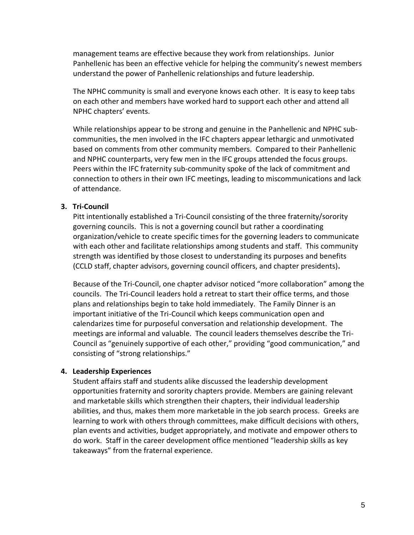management teams are effective because they work from relationships. Junior Panhellenic has been an effective vehicle for helping the community's newest members understand the power of Panhellenic relationships and future leadership.

The NPHC community is small and everyone knows each other. It is easy to keep tabs on each other and members have worked hard to support each other and attend all NPHC chapters' events.

While relationships appear to be strong and genuine in the Panhellenic and NPHC subcommunities, the men involved in the IFC chapters appear lethargic and unmotivated based on comments from other community members. Compared to their Panhellenic and NPHC counterparts, very few men in the IFC groups attended the focus groups. Peers within the IFC fraternity sub-community spoke of the lack of commitment and connection to others in their own IFC meetings, leading to miscommunications and lack of attendance.

### **3. Tri-Council**

Pitt intentionally established a Tri-Council consisting of the three fraternity/sorority governing councils. This is not a governing council but rather a coordinating organization/vehicle to create specific times for the governing leaders to communicate with each other and facilitate relationships among students and staff. This community strength was identified by those closest to understanding its purposes and benefits (CCLD staff, chapter advisors, governing council officers, and chapter presidents)**.**

Because of the Tri-Council, one chapter advisor noticed "more collaboration" among the councils. The Tri-Council leaders hold a retreat to start their office terms, and those plans and relationships begin to take hold immediately. The Family Dinner is an important initiative of the Tri-Council which keeps communication open and calendarizes time for purposeful conversation and relationship development. The meetings are informal and valuable. The council leaders themselves describe the Tri-Council as "genuinely supportive of each other," providing "good communication," and consisting of "strong relationships."

### **4. Leadership Experiences**

Student affairs staff and students alike discussed the leadership development opportunities fraternity and sorority chapters provide. Members are gaining relevant and marketable skills which strengthen their chapters, their individual leadership abilities, and thus, makes them more marketable in the job search process. Greeks are learning to work with others through committees, make difficult decisions with others, plan events and activities, budget appropriately, and motivate and empower others to do work. Staff in the career development office mentioned "leadership skills as key takeaways" from the fraternal experience.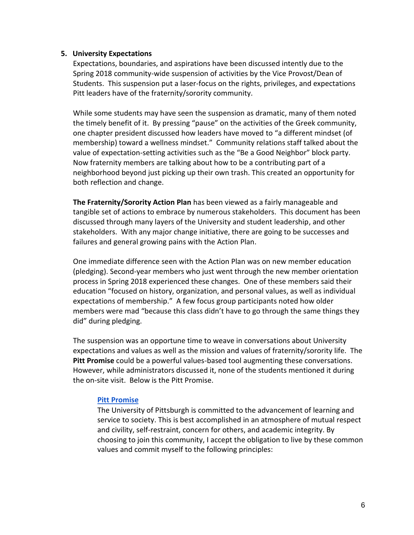#### **5. University Expectations**

Expectations, boundaries, and aspirations have been discussed intently due to the Spring 2018 community-wide suspension of activities by the Vice Provost/Dean of Students. This suspension put a laser-focus on the rights, privileges, and expectations Pitt leaders have of the fraternity/sorority community.

While some students may have seen the suspension as dramatic, many of them noted the timely benefit of it. By pressing "pause" on the activities of the Greek community, one chapter president discussed how leaders have moved to "a different mindset (of membership) toward a wellness mindset." Community relations staff talked about the value of expectation-setting activities such as the "Be a Good Neighbor" block party. Now fraternity members are talking about how to be a contributing part of a neighborhood beyond just picking up their own trash. This created an opportunity for both reflection and change.

**The Fraternity/Sorority Action Plan** has been viewed as a fairly manageable and tangible set of actions to embrace by numerous stakeholders. This document has been discussed through many layers of the University and student leadership, and other stakeholders. With any major change initiative, there are going to be successes and failures and general growing pains with the Action Plan.

One immediate difference seen with the Action Plan was on new member education (pledging). Second-year members who just went through the new member orientation process in Spring 2018 experienced these changes. One of these members said their education "focused on history, organization, and personal values, as well as individual expectations of membership." A few focus group participants noted how older members were mad "because this class didn't have to go through the same things they did" during pledging.

The suspension was an opportune time to weave in conversations about University expectations and values as well as the mission and values of fraternity/sorority life. The **Pitt Promise** could be a powerful values-based tool augmenting these conversations. However, while administrators discussed it, none of the students mentioned it during the on-site visit. Below is the Pitt Promise.

### **[Pitt Promise](https://www.studentaffairs.pitt.edu/dean/pittpromise/)**

The University of Pittsburgh is committed to the advancement of learning and service to society. This is best accomplished in an atmosphere of mutual respect and civility, self-restraint, concern for others, and academic integrity. By choosing to join this community, I accept the obligation to live by these common values and commit myself to the following principles: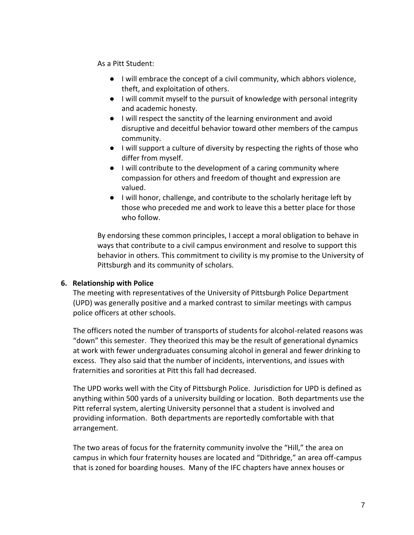As a Pitt Student:

- I will embrace the concept of a civil community, which abhors violence, theft, and exploitation of others.
- I will commit myself to the pursuit of knowledge with personal integrity and academic honesty.
- I will respect the sanctity of the learning environment and avoid disruptive and deceitful behavior toward other members of the campus community.
- I will support a culture of diversity by respecting the rights of those who differ from myself.
- I will contribute to the development of a caring community where compassion for others and freedom of thought and expression are valued.
- I will honor, challenge, and contribute to the scholarly heritage left by those who preceded me and work to leave this a better place for those who follow.

By endorsing these common principles, I accept a moral obligation to behave in ways that contribute to a civil campus environment and resolve to support this behavior in others. This commitment to civility is my promise to the University of Pittsburgh and its community of scholars.

# **6. Relationship with Police**

The meeting with representatives of the University of Pittsburgh Police Department (UPD) was generally positive and a marked contrast to similar meetings with campus police officers at other schools.

The officers noted the number of transports of students for alcohol-related reasons was "down" this semester. They theorized this may be the result of generational dynamics at work with fewer undergraduates consuming alcohol in general and fewer drinking to excess. They also said that the number of incidents, interventions, and issues with fraternities and sororities at Pitt this fall had decreased.

The UPD works well with the City of Pittsburgh Police. Jurisdiction for UPD is defined as anything within 500 yards of a university building or location. Both departments use the Pitt referral system, alerting University personnel that a student is involved and providing information. Both departments are reportedly comfortable with that arrangement.

The two areas of focus for the fraternity community involve the "Hill," the area on campus in which four fraternity houses are located and "Dithridge," an area off-campus that is zoned for boarding houses. Many of the IFC chapters have annex houses or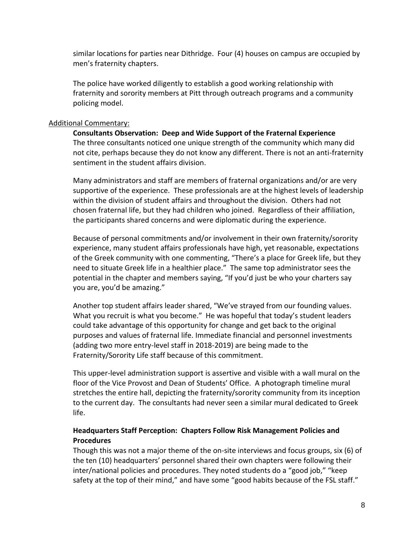similar locations for parties near Dithridge. Four (4) houses on campus are occupied by men's fraternity chapters.

The police have worked diligently to establish a good working relationship with fraternity and sorority members at Pitt through outreach programs and a community policing model.

### Additional Commentary:

**Consultants Observation: Deep and Wide Support of the Fraternal Experience** The three consultants noticed one unique strength of the community which many did not cite, perhaps because they do not know any different. There is not an anti-fraternity sentiment in the student affairs division.

Many administrators and staff are members of fraternal organizations and/or are very supportive of the experience. These professionals are at the highest levels of leadership within the division of student affairs and throughout the division. Others had not chosen fraternal life, but they had children who joined. Regardless of their affiliation, the participants shared concerns and were diplomatic during the experience.

Because of personal commitments and/or involvement in their own fraternity/sorority experience, many student affairs professionals have high, yet reasonable, expectations of the Greek community with one commenting, "There's a place for Greek life, but they need to situate Greek life in a healthier place." The same top administrator sees the potential in the chapter and members saying, "If you'd just be who your charters say you are, you'd be amazing."

Another top student affairs leader shared, "We've strayed from our founding values. What you recruit is what you become." He was hopeful that today's student leaders could take advantage of this opportunity for change and get back to the original purposes and values of fraternal life. Immediate financial and personnel investments (adding two more entry-level staff in 2018-2019) are being made to the Fraternity/Sorority Life staff because of this commitment.

This upper-level administration support is assertive and visible with a wall mural on the floor of the Vice Provost and Dean of Students' Office. A photograph timeline mural stretches the entire hall, depicting the fraternity/sorority community from its inception to the current day. The consultants had never seen a similar mural dedicated to Greek life.

# **Headquarters Staff Perception: Chapters Follow Risk Management Policies and Procedures**

Though this was not a major theme of the on-site interviews and focus groups, six (6) of the ten (10) headquarters' personnel shared their own chapters were following their inter/national policies and procedures. They noted students do a "good job," "keep safety at the top of their mind," and have some "good habits because of the FSL staff."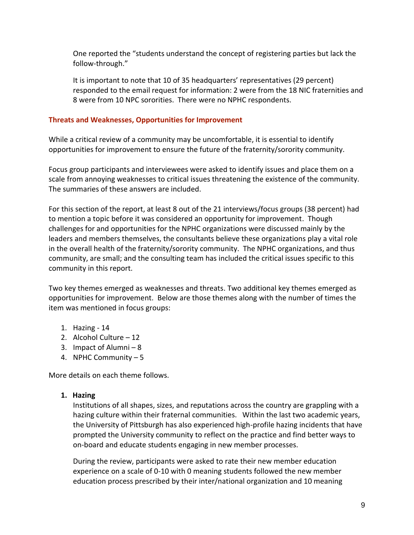One reported the "students understand the concept of registering parties but lack the follow-through."

It is important to note that 10 of 35 headquarters' representatives (29 percent) responded to the email request for information: 2 were from the 18 NIC fraternities and 8 were from 10 NPC sororities. There were no NPHC respondents.

# **Threats and Weaknesses, Opportunities for Improvement**

While a critical review of a community may be uncomfortable, it is essential to identify opportunities for improvement to ensure the future of the fraternity/sorority community.

Focus group participants and interviewees were asked to identify issues and place them on a scale from annoying weaknesses to critical issues threatening the existence of the community. The summaries of these answers are included.

For this section of the report, at least 8 out of the 21 interviews/focus groups (38 percent) had to mention a topic before it was considered an opportunity for improvement. Though challenges for and opportunities for the NPHC organizations were discussed mainly by the leaders and members themselves, the consultants believe these organizations play a vital role in the overall health of the fraternity/sorority community. The NPHC organizations, and thus community, are small; and the consulting team has included the critical issues specific to this community in this report.

Two key themes emerged as weaknesses and threats. Two additional key themes emerged as opportunities for improvement. Below are those themes along with the number of times the item was mentioned in focus groups:

- 1. Hazing 14
- 2. Alcohol Culture 12
- 3. Impact of Alumni 8
- 4. NPHC Community 5

More details on each theme follows.

# **1. Hazing**

Institutions of all shapes, sizes, and reputations across the country are grappling with a hazing culture within their fraternal communities. Within the last two academic years, the University of Pittsburgh has also experienced high-profile hazing incidents that have prompted the University community to reflect on the practice and find better ways to on-board and educate students engaging in new member processes.

During the review, participants were asked to rate their new member education experience on a scale of 0-10 with 0 meaning students followed the new member education process prescribed by their inter/national organization and 10 meaning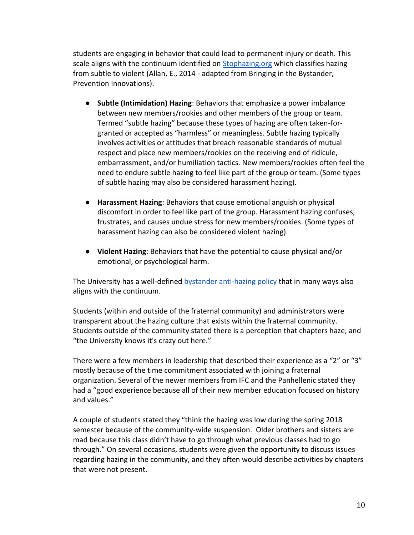students are engaging in behavior that could lead to permanent injury or death. This scale aligns with the continuum identified on [Stophazing.org](https://www.stophazing.org/) which classifies hazing from subtle to violent (Allan, E., 2014 - adapted from Bringing in the Bystander, Prevention Innovations).

- **Subtle (Intimidation) Hazing**: Behaviors that emphasize a power imbalance between new members/rookies and other members of the group or team. Termed "subtle hazing" because these types of hazing are often taken-forgranted or accepted as "harmless" or meaningless. Subtle hazing typically involves activities or attitudes that breach reasonable standards of mutual respect and place new members/rookies on the receiving end of ridicule, embarrassment, and/or humiliation tactics. New members/rookies often feel the need to endure subtle hazing to feel like part of the group or team. (Some types of subtle hazing may also be considered harassment hazing).
- **Harassment Hazing**: Behaviors that cause emotional anguish or physical discomfort in order to feel like part of the group. Harassment hazing confuses, frustrates, and causes undue stress for new members/rookies. (Some types of harassment hazing can also be considered violent hazing).
- **Violent Hazing**: Behaviors that have the potential to cause physical and/or emotional, or psychological harm.

The University has a well-defined **bystander anti-hazing policy** that in many ways also aligns with the continuum.

Students (within and outside of the fraternal community) and administrators were transparent about the hazing culture that exists within the fraternal community. Students outside of the community stated there is a perception that chapters haze, and "the University knows it's crazy out here."

There were a few members in leadership that described their experience as a "2" or "3" mostly because of the time commitment associated with joining a fraternal organization. Several of the newer members from IFC and the Panhellenic stated they had a "good experience because all of their new member education focused on history and values."

A couple of students stated they "think the hazing was low during the spring 2018 semester because of the community-wide suspension. Older brothers and sisters are mad because this class didn't have to go through what previous classes had to go through." On several occasions, students were given the opportunity to discuss issues regarding hazing in the community, and they often would describe activities by chapters that were not present.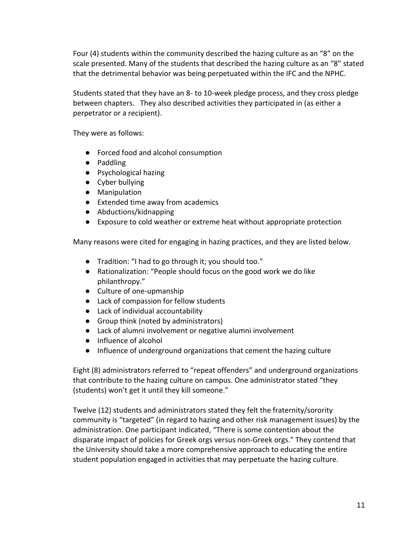Four (4) students within the community described the hazing culture as an "8" on the scale presented. Many of the students that described the hazing culture as an "8" stated that the detrimental behavior was being perpetuated within the IFC and the NPHC.

Students stated that they have an 8- to 10-week pledge process, and they cross pledge between chapters. They also described activities they participated in (as either a perpetrator or a recipient).

They were as follows:

- Forced food and alcohol consumption
- Paddling
- Psychological hazing
- Cyber bullying
- Manipulation
- Extended time away from academics
- Abductions/kidnapping
- Exposure to cold weather or extreme heat without appropriate protection

Many reasons were cited for engaging in hazing practices, and they are listed below.

- Tradition: "I had to go through it; you should too."
- Rationalization: "People should focus on the good work we do like philanthropy."
- Culture of one-upmanship
- Lack of compassion for fellow students
- Lack of individual accountability
- Group think (noted by administrators)
- Lack of alumni involvement or negative alumni involvement
- Influence of alcohol
- Influence of underground organizations that cement the hazing culture

Eight (8) administrators referred to "repeat offenders" and underground organizations that contribute to the hazing culture on campus. One administrator stated "they (students) won't get it until they kill someone."

Twelve (12) students and administrators stated they felt the fraternity/sorority community is "targeted" (in regard to hazing and other risk management issues) by the administration. One participant indicated, "There is some contention about the disparate impact of policies for Greek orgs versus non-Greek orgs." They contend that the University should take a more comprehensive approach to educating the entire student population engaged in activities that may perpetuate the hazing culture.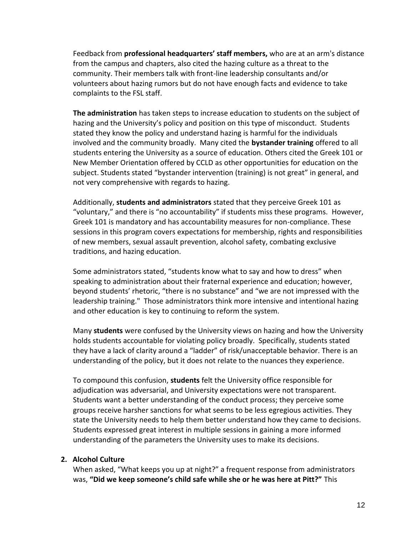Feedback from **professional headquarters' staff members,** who are at an arm's distance from the campus and chapters, also cited the hazing culture as a threat to the community. Their members talk with front-line leadership consultants and/or volunteers about hazing rumors but do not have enough facts and evidence to take complaints to the FSL staff.

**The administration** has taken steps to increase education to students on the subject of hazing and the University's policy and position on this type of misconduct. Students stated they know the policy and understand hazing is harmful for the individuals involved and the community broadly. Many cited the **bystander training** offered to all students entering the University as a source of education. Others cited the Greek 101 or New Member Orientation offered by CCLD as other opportunities for education on the subject. Students stated "bystander intervention (training) is not great" in general, and not very comprehensive with regards to hazing.

Additionally, **students and administrators** stated that they perceive Greek 101 as "voluntary," and there is "no accountability" if students miss these programs. However, Greek 101 is mandatory and has accountability measures for non-compliance. These sessions in this program covers expectations for membership, rights and responsibilities of new members, sexual assault prevention, alcohol safety, combating exclusive traditions, and hazing education.

Some administrators stated, "students know what to say and how to dress" when speaking to administration about their fraternal experience and education; however, beyond students' rhetoric, "there is no substance" and "we are not impressed with the leadership training." Those administrators think more intensive and intentional hazing and other education is key to continuing to reform the system.

Many **students** were confused by the University views on hazing and how the University holds students accountable for violating policy broadly. Specifically, students stated they have a lack of clarity around a "ladder" of risk/unacceptable behavior. There is an understanding of the policy, but it does not relate to the nuances they experience.

To compound this confusion, **students** felt the University office responsible for adjudication was adversarial, and University expectations were not transparent. Students want a better understanding of the conduct process; they perceive some groups receive harsher sanctions for what seems to be less egregious activities. They state the University needs to help them better understand how they came to decisions. Students expressed great interest in multiple sessions in gaining a more informed understanding of the parameters the University uses to make its decisions.

### **2. Alcohol Culture**

When asked, "What keeps you up at night?" a frequent response from administrators was, **"Did we keep someone's child safe while she or he was here at Pitt?"** This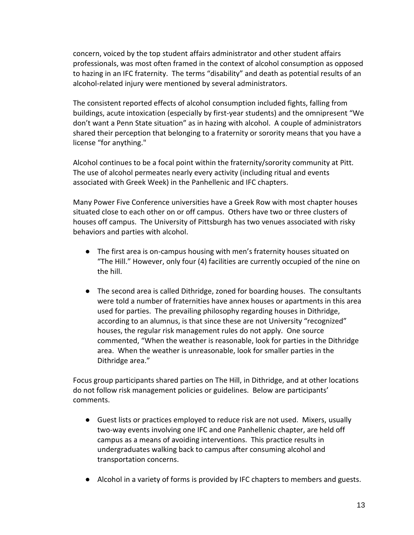concern, voiced by the top student affairs administrator and other student affairs professionals, was most often framed in the context of alcohol consumption as opposed to hazing in an IFC fraternity. The terms "disability" and death as potential results of an alcohol-related injury were mentioned by several administrators.

The consistent reported effects of alcohol consumption included fights, falling from buildings, acute intoxication (especially by first-year students) and the omnipresent "We don't want a Penn State situation" as in hazing with alcohol. A couple of administrators shared their perception that belonging to a fraternity or sorority means that you have a license "for anything."

Alcohol continues to be a focal point within the fraternity/sorority community at Pitt. The use of alcohol permeates nearly every activity (including ritual and events associated with Greek Week) in the Panhellenic and IFC chapters.

Many Power Five Conference universities have a Greek Row with most chapter houses situated close to each other on or off campus. Others have two or three clusters of houses off campus. The University of Pittsburgh has two venues associated with risky behaviors and parties with alcohol.

- The first area is on-campus housing with men's fraternity houses situated on "The Hill." However, only four (4) facilities are currently occupied of the nine on the hill.
- The second area is called Dithridge, zoned for boarding houses. The consultants were told a number of fraternities have annex houses or apartments in this area used for parties. The prevailing philosophy regarding houses in Dithridge, according to an alumnus, is that since these are not University "recognized" houses, the regular risk management rules do not apply. One source commented, "When the weather is reasonable, look for parties in the Dithridge area. When the weather is unreasonable, look for smaller parties in the Dithridge area."

Focus group participants shared parties on The Hill, in Dithridge, and at other locations do not follow risk management policies or guidelines. Below are participants' comments.

- Guest lists or practices employed to reduce risk are not used. Mixers, usually two-way events involving one IFC and one Panhellenic chapter, are held off campus as a means of avoiding interventions. This practice results in undergraduates walking back to campus after consuming alcohol and transportation concerns.
- Alcohol in a variety of forms is provided by IFC chapters to members and guests.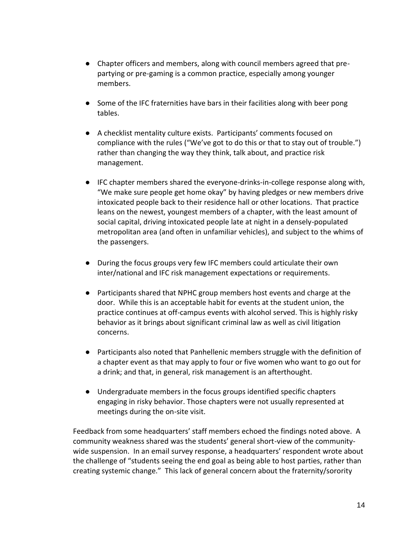- Chapter officers and members, along with council members agreed that prepartying or pre-gaming is a common practice, especially among younger members.
- Some of the IFC fraternities have bars in their facilities along with beer pong tables.
- A checklist mentality culture exists. Participants' comments focused on compliance with the rules ("We've got to do this or that to stay out of trouble.") rather than changing the way they think, talk about, and practice risk management.
- IFC chapter members shared the everyone-drinks-in-college response along with, "We make sure people get home okay" by having pledges or new members drive intoxicated people back to their residence hall or other locations. That practice leans on the newest, youngest members of a chapter, with the least amount of social capital, driving intoxicated people late at night in a densely-populated metropolitan area (and often in unfamiliar vehicles), and subject to the whims of the passengers.
- During the focus groups very few IFC members could articulate their own inter/national and IFC risk management expectations or requirements.
- Participants shared that NPHC group members host events and charge at the door. While this is an acceptable habit for events at the student union, the practice continues at off-campus events with alcohol served. This is highly risky behavior as it brings about significant criminal law as well as civil litigation concerns.
- Participants also noted that Panhellenic members struggle with the definition of a chapter event as that may apply to four or five women who want to go out for a drink; and that, in general, risk management is an afterthought.
- Undergraduate members in the focus groups identified specific chapters engaging in risky behavior. Those chapters were not usually represented at meetings during the on-site visit.

Feedback from some headquarters' staff members echoed the findings noted above. A community weakness shared was the students' general short-view of the communitywide suspension. In an email survey response, a headquarters' respondent wrote about the challenge of "students seeing the end goal as being able to host parties, rather than creating systemic change." This lack of general concern about the fraternity/sorority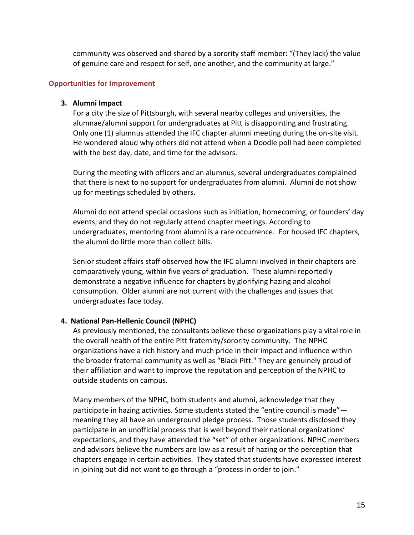community was observed and shared by a sorority staff member: "(They lack) the value of genuine care and respect for self, one another, and the community at large."

### **Opportunities for Improvement**

#### **3. Alumni Impact**

For a city the size of Pittsburgh, with several nearby colleges and universities, the alumnae/alumni support for undergraduates at Pitt is disappointing and frustrating. Only one (1) alumnus attended the IFC chapter alumni meeting during the on-site visit. He wondered aloud why others did not attend when a Doodle poll had been completed with the best day, date, and time for the advisors.

During the meeting with officers and an alumnus, several undergraduates complained that there is next to no support for undergraduates from alumni. Alumni do not show up for meetings scheduled by others.

Alumni do not attend special occasions such as initiation, homecoming, or founders' day events; and they do not regularly attend chapter meetings. According to undergraduates, mentoring from alumni is a rare occurrence. For housed IFC chapters, the alumni do little more than collect bills.

Senior student affairs staff observed how the IFC alumni involved in their chapters are comparatively young, within five years of graduation. These alumni reportedly demonstrate a negative influence for chapters by glorifying hazing and alcohol consumption. Older alumni are not current with the challenges and issues that undergraduates face today.

#### **4. National Pan-Hellenic Council (NPHC)**

As previously mentioned, the consultants believe these organizations play a vital role in the overall health of the entire Pitt fraternity/sorority community. The NPHC organizations have a rich history and much pride in their impact and influence within the broader fraternal community as well as "Black Pitt." They are genuinely proud of their affiliation and want to improve the reputation and perception of the NPHC to outside students on campus.

Many members of the NPHC, both students and alumni, acknowledge that they participate in hazing activities. Some students stated the "entire council is made" meaning they all have an underground pledge process. Those students disclosed they participate in an unofficial process that is well beyond their national organizations' expectations, and they have attended the "set" of other organizations. NPHC members and advisors believe the numbers are low as a result of hazing or the perception that chapters engage in certain activities. They stated that students have expressed interest in joining but did not want to go through a "process in order to join."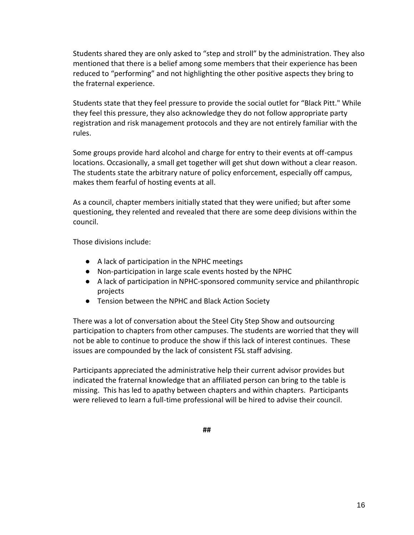Students shared they are only asked to "step and stroll" by the administration. They also mentioned that there is a belief among some members that their experience has been reduced to "performing" and not highlighting the other positive aspects they bring to the fraternal experience.

Students state that they feel pressure to provide the social outlet for "Black Pitt." While they feel this pressure, they also acknowledge they do not follow appropriate party registration and risk management protocols and they are not entirely familiar with the rules.

Some groups provide hard alcohol and charge for entry to their events at off-campus locations. Occasionally, a small get together will get shut down without a clear reason. The students state the arbitrary nature of policy enforcement, especially off campus, makes them fearful of hosting events at all.

As a council, chapter members initially stated that they were unified; but after some questioning, they relented and revealed that there are some deep divisions within the council.

Those divisions include:

- A lack of participation in the NPHC meetings
- Non-participation in large scale events hosted by the NPHC
- A lack of participation in NPHC-sponsored community service and philanthropic projects
- Tension between the NPHC and Black Action Society

There was a lot of conversation about the Steel City Step Show and outsourcing participation to chapters from other campuses. The students are worried that they will not be able to continue to produce the show if this lack of interest continues. These issues are compounded by the lack of consistent FSL staff advising.

Participants appreciated the administrative help their current advisor provides but indicated the fraternal knowledge that an affiliated person can bring to the table is missing. This has led to apathy between chapters and within chapters. Participants were relieved to learn a full-time professional will be hired to advise their council.

**##**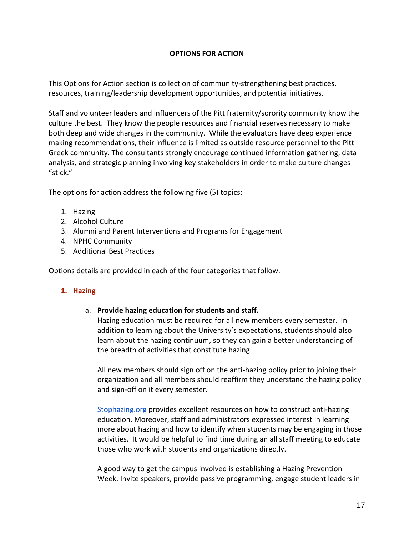# **OPTIONS FOR ACTION**

This Options for Action section is collection of community-strengthening best practices, resources, training/leadership development opportunities, and potential initiatives.

Staff and volunteer leaders and influencers of the Pitt fraternity/sorority community know the culture the best. They know the people resources and financial reserves necessary to make both deep and wide changes in the community. While the evaluators have deep experience making recommendations, their influence is limited as outside resource personnel to the Pitt Greek community. The consultants strongly encourage continued information gathering, data analysis, and strategic planning involving key stakeholders in order to make culture changes "stick."

The options for action address the following five (5) topics:

- 1. Hazing
- 2. Alcohol Culture
- 3. Alumni and Parent Interventions and Programs for Engagement
- 4. NPHC Community
- 5. Additional Best Practices

Options details are provided in each of the four categories that follow.

### **1. Hazing**

### a. **Provide hazing education for students and staff.**

Hazing education must be required for all new members every semester. In addition to learning about the University's expectations, students should also learn about the hazing continuum, so they can gain a better understanding of the breadth of activities that constitute hazing.

All new members should sign off on the anti-hazing policy prior to joining their organization and all members should reaffirm they understand the hazing policy and sign-off on it every semester.

[Stophazing.org](https://www.stophazing.org/) provides excellent resources on how to construct anti-hazing education. Moreover, staff and administrators expressed interest in learning more about hazing and how to identify when students may be engaging in those activities. It would be helpful to find time during an all staff meeting to educate those who work with students and organizations directly.

A good way to get the campus involved is establishing a Hazing Prevention Week. Invite speakers, provide passive programming, engage student leaders in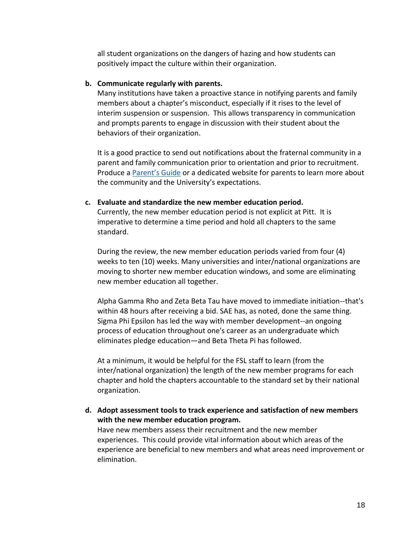all student organizations on the dangers of hazing and how students can positively impact the culture within their organization.

#### **b. Communicate regularly with parents.**

Many institutions have taken a proactive stance in notifying parents and family members about a chapter's misconduct, especially if it rises to the level of interim suspension or suspension. This allows transparency in communication and prompts parents to engage in discussion with their student about the behaviors of their organization.

It is a good practice to send out notifications about the fraternal community in a parent and family communication prior to orientation and prior to recruitment. Produce a [Parent's Guide](https://gato-docs.its.txstate.edu/jcr:16a194ea-6eb7-4356-bed0-218073dc4c17/Greek%20Affairs.pdf) or a dedicated website for parents to learn more about the community and the University's expectations.

#### **c. Evaluate and standardize the new member education period.**

Currently, the new member education period is not explicit at Pitt. It is imperative to determine a time period and hold all chapters to the same standard.

During the review, the new member education periods varied from four (4) weeks to ten (10) weeks. Many universities and inter/national organizations are moving to shorter new member education windows, and some are eliminating new member education all together.

Alpha Gamma Rho and Zeta Beta Tau have moved to immediate initiation--that's within 48 hours after receiving a bid. SAE has, as noted, done the same thing. Sigma Phi Epsilon has led the way with member development--an ongoing process of education throughout one's career as an undergraduate which eliminates pledge education—and Beta Theta Pi has followed.

At a minimum, it would be helpful for the FSL staff to learn (from the inter/national organization) the length of the new member programs for each chapter and hold the chapters accountable to the standard set by their national organization.

**d. Adopt assessment tools to track experience and satisfaction of new members with the new member education program.**

Have new members assess their recruitment and the new member experiences. This could provide vital information about which areas of the experience are beneficial to new members and what areas need improvement or elimination.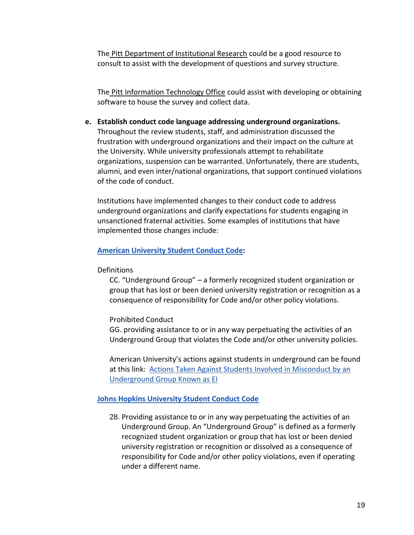The [Pitt Department of Institutional Research](https://ir.pitt.edu/) could be a good resource to consult to assist with the development of questions and survey structure.

The [Pitt Information Technology Office](https://www.technology.pitt.edu/) could assist with developing or obtaining software to house the survey and collect data.

**e. Establish conduct code language addressing underground organizations.** Throughout the review students, staff, and administration discussed the frustration with underground organizations and their impact on the culture at the University. While university professionals attempt to rehabilitate organizations, suspension can be warranted. Unfortunately, there are students, alumni, and even inter/national organizations, that support continued violations of the code of conduct.

Institutions have implemented changes to their conduct code to address underground organizations and clarify expectations for students engaging in unsanctioned fraternal activities. Some examples of institutions that have implemented those changes include:

**[American University Student Conduct Code:](https://www.american.edu/ocl/sccrs/upload/AU-Student-Conduct-Code.pdf)**

**Definitions** 

CC. "Underground Group" – a formerly recognized student organization or group that has lost or been denied university registration or recognition as a consequence of responsibility for Code and/or other policy violations.

Prohibited Conduct

GG. providing assistance to or in any way perpetuating the activities of an Underground Group that violates the Code and/or other university policies.

American University's actions against students in underground can be found at this link: [Actions Taken Against Students Involved in Misconduct by an](https://www.american.edu/media/student-conduct-20170828.cfm)  [Underground Group Known as EI](https://www.american.edu/media/student-conduct-20170828.cfm)

# **[Johns Hopkins University Student Conduct Code](https://studentaffairs.jhu.edu/policies-guidelines/student-code)**

28. Providing assistance to or in any way perpetuating the activities of an Underground Group. An "Underground Group" is defined as a formerly recognized student organization or group that has lost or been denied university registration or recognition or dissolved as a consequence of responsibility for Code and/or other policy violations, even if operating under a different name.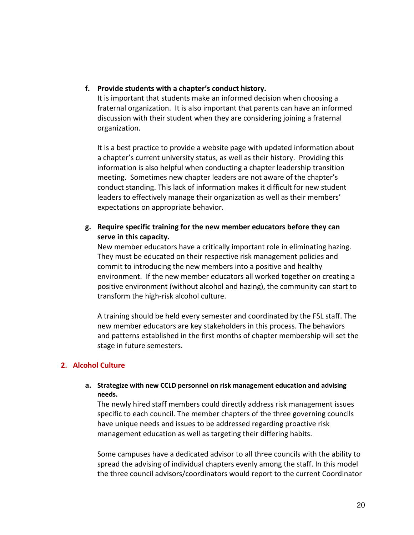**f. Provide students with a chapter's conduct history.**

It is important that students make an informed decision when choosing a fraternal organization. It is also important that parents can have an informed discussion with their student when they are considering joining a fraternal organization.

It is a best practice to provide a website page with updated information about a chapter's current university status, as well as their history. Providing this information is also helpful when conducting a chapter leadership transition meeting. Sometimes new chapter leaders are not aware of the chapter's conduct standing. This lack of information makes it difficult for new student leaders to effectively manage their organization as well as their members' expectations on appropriate behavior.

**g. Require specific training for the new member educators before they can serve in this capacity.**

New member educators have a critically important role in eliminating hazing. They must be educated on their respective risk management policies and commit to introducing the new members into a positive and healthy environment. If the new member educators all worked together on creating a positive environment (without alcohol and hazing), the community can start to transform the high-risk alcohol culture.

A training should be held every semester and coordinated by the FSL staff. The new member educators are key stakeholders in this process. The behaviors and patterns established in the first months of chapter membership will set the stage in future semesters.

# **2. Alcohol Culture**

### **a. Strategize with new CCLD personnel on risk management education and advising needs.**

The newly hired staff members could directly address risk management issues specific to each council. The member chapters of the three governing councils have unique needs and issues to be addressed regarding proactive risk management education as well as targeting their differing habits.

Some campuses have a dedicated advisor to all three councils with the ability to spread the advising of individual chapters evenly among the staff. In this model the three council advisors/coordinators would report to the current Coordinator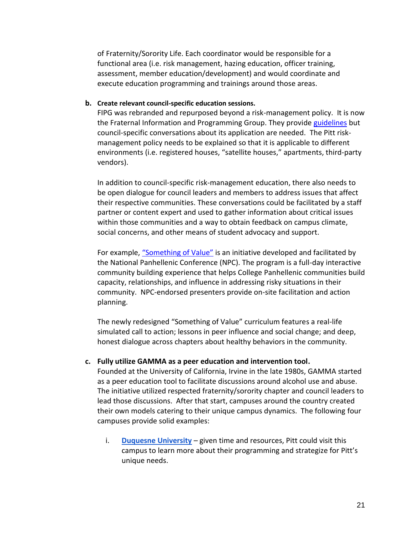of Fraternity/Sorority Life. Each coordinator would be responsible for a functional area (i.e. risk management, hazing education, officer training, assessment, member education/development) and would coordinate and execute education programming and trainings around those areas.

#### **b. Create relevant council-specific education sessions.**

FIPG was rebranded and repurposed beyond a risk-management policy. It is now the Fraternal Information and Programming Group. They provid[e guidelines](https://app.box.com/s/op1i6d8bbc09wtpfb4133bsdyifu8e2u) but council-specific conversations about its application are needed. The Pitt riskmanagement policy needs to be explained so that it is applicable to different environments (i.e. registered houses, "satellite houses," apartments, third-party vendors).

In addition to council-specific risk-management education, there also needs to be open dialogue for council leaders and members to address issues that affect their respective communities. These conversations could be facilitated by a staff partner or content expert and used to gather information about critical issues within those communities and a way to obtain feedback on campus climate, social concerns, and other means of student advocacy and support.

For example, ["Something of Value"](https://www.npcwomen.org/programs/something-of-value/) is an initiative developed and facilitated by the National Panhellenic Conference (NPC). The program is a full-day interactive community building experience that helps College Panhellenic communities build capacity, relationships, and influence in addressing risky situations in their community. NPC-endorsed presenters provide on-site facilitation and action planning.

The newly redesigned "Something of Value" curriculum features a real-life simulated call to action; lessons in peer influence and social change; and deep, honest dialogue across chapters about healthy behaviors in the community.

### **c. Fully utilize GAMMA as a peer education and intervention tool.**

Founded at the University of California, Irvine in the late 1980s, GAMMA started as a peer education tool to facilitate discussions around alcohol use and abuse. The initiative utilized respected fraternity/sorority chapter and council leaders to lead those discussions. After that start, campuses around the country created their own models catering to their unique campus dynamics. The following four campuses provide solid examples:

i. **[Duquesne University](about:blank)** – given time and resources, Pitt could visit this campus to learn more about their programming and strategize for Pitt's unique needs.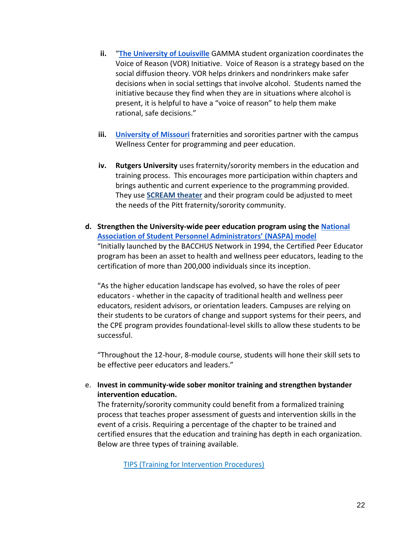- **ii.** "**[The University of Louisville](https://louisville.edu/bricc/gamma)** GAMMA student organization coordinates the Voice of Reason (VOR) Initiative. Voice of Reason is a strategy based on the social diffusion theory. VOR helps drinkers and nondrinkers make safer decisions when in social settings that involve alcohol. Students named the initiative because they find when they are in situations where alcohol is present, it is helpful to have a "voice of reason" to help them make rational, safe decisions."
- **iii. [University of Missouri](https://wellness.missouri.edu/get-involved/gamma/)** fraternities and sororities partner with the campus Wellness Center for programming and peer education.
- **iv. Rutgers University** uses fraternity/sorority members in the education and training process. This encourages more participation within chapters and brings authentic and current experience to the programming provided. They use **[SCREAM theater](http://vpva.rutgers.edu/scream-theater-and-scream-athletes/what-is-scream-theater/)** and their program could be adjusted to meet the needs of the Pitt fraternity/sorority community.
- **d. Strengthen the University-wide peer education program using the [National](https://www.naspa.org/constituent-groups/groups/bacchus-initiatives/research-grants)  [Association of Student Personnel Administrators' \(NASPA\) model](https://www.naspa.org/constituent-groups/groups/bacchus-initiatives/research-grants)** "Initially launched by the BACCHUS Network in 1994, the Certified Peer Educator program has been an asset to health and wellness peer educators, leading to the certification of more than 200,000 individuals since its inception.

"As the higher education landscape has evolved, so have the roles of peer educators - whether in the capacity of traditional health and wellness peer educators, resident advisors, or orientation leaders. Campuses are relying on their students to be curators of change and support systems for their peers, and the CPE program provides foundational-level skills to allow these students to be successful.

"Throughout the 12-hour, 8-module course, students will hone their skill sets to be effective peer educators and leaders."

e. **Invest in community-wide sober monitor training and strengthen bystander intervention education.**

The fraternity/sorority community could benefit from a formalized training process that teaches proper assessment of guests and intervention skills in the event of a crisis. Requiring a percentage of the chapter to be trained and certified ensures that the education and training has depth in each organization. Below are three types of training available.

[TIPS \(Training for Intervention Procedures\)](https://www.tipsuniversity.org/)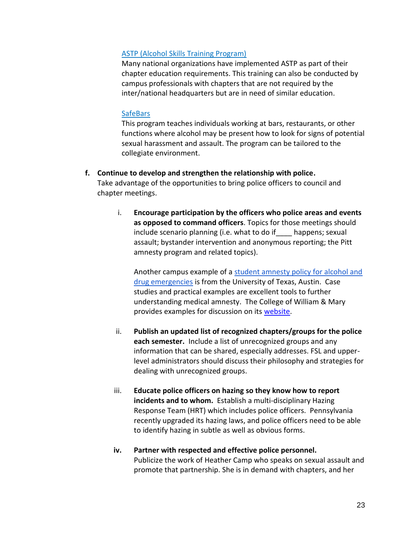#### [ASTP \(Alcohol Skills Training Program\)](https://www.phikappapsi.com/programs/elevate-health-wellness/alcohol-skills-training-program-astp/)

Many national organizations have implemented ASTP as part of their chapter education requirements. This training can also be conducted by campus professionals with chapters that are not required by the inter/national headquarters but are in need of similar education.

#### **[SafeBars](http://safebars.org/)**

This program teaches individuals working at bars, restaurants, or other functions where alcohol may be present how to look for signs of potential sexual harassment and assault. The program can be tailored to the collegiate environment.

- **f. Continue to develop and strengthen the relationship with police.** Take advantage of the opportunities to bring police officers to council and chapter meetings.
	- i. **Encourage participation by the officers who police areas and events as opposed to command officers**. Topics for those meetings should include scenario planning (i.e. what to do if\_\_\_\_ happens; sexual assault; bystander intervention and anonymous reporting; the Pitt amnesty program and related topics).

Another campus example of a [student amnesty policy for alcohol and](https://www.healthyhorns.utexas.edu/amnesty.html)  [drug emergencies](https://www.healthyhorns.utexas.edu/amnesty.html) is from the University of Texas, Austin. Case studies and practical examples are excellent tools to further understanding medical amnesty. The College of William & Mary provides examples for discussion on its [website.](https://www.wm.edu/offices/deanofstudents/services/communityvalues/studenthandbook/alcohol_beverage_policy/good_griffin_examples/index.php)

- ii. **Publish an updated list of recognized chapters/groups for the police each semester.** Include a list of unrecognized groups and any information that can be shared, especially addresses. FSL and upperlevel administrators should discuss their philosophy and strategies for dealing with unrecognized groups.
- iii. **Educate police officers on hazing so they know how to report incidents and to whom.** Establish a multi-disciplinary Hazing Response Team (HRT) which includes police officers. Pennsylvania recently upgraded its hazing laws, and police officers need to be able to identify hazing in subtle as well as obvious forms.
- **iv. Partner with respected and effective police personnel.** Publicize the work of Heather Camp who speaks on sexual assault and promote that partnership. She is in demand with chapters, and her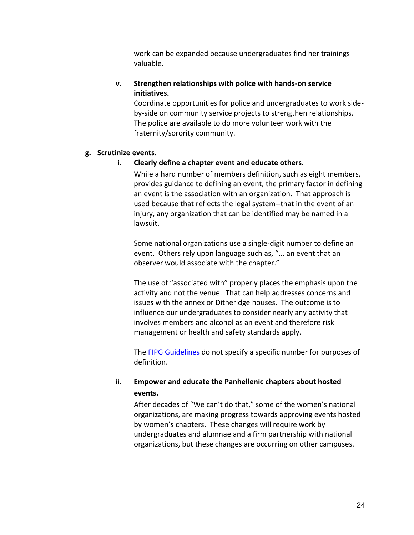work can be expanded because undergraduates find her trainings valuable.

# **v. Strengthen relationships with police with hands-on service initiatives.**

Coordinate opportunities for police and undergraduates to work sideby-side on community service projects to strengthen relationships. The police are available to do more volunteer work with the fraternity/sorority community.

### **g. Scrutinize events.**

# **i. Clearly define a chapter event and educate others.**

While a hard number of members definition, such as eight members, provides guidance to defining an event, the primary factor in defining an event is the association with an organization. That approach is used because that reflects the legal system--that in the event of an injury, any organization that can be identified may be named in a lawsuit.

Some national organizations use a single-digit number to define an event. Others rely upon language such as, "... an event that an observer would associate with the chapter."

The use of "associated with" properly places the emphasis upon the activity and not the venue. That can help addresses concerns and issues with the annex or Ditheridge houses. The outcome is to influence our undergraduates to consider nearly any activity that involves members and alcohol as an event and therefore risk management or health and safety standards apply.

The **FIPG Guidelines** do not specify a specific number for purposes of definition.

# **ii. Empower and educate the Panhellenic chapters about hosted events.**

After decades of "We can't do that," some of the women's national organizations, are making progress towards approving events hosted by women's chapters. These changes will require work by undergraduates and alumnae and a firm partnership with national organizations, but these changes are occurring on other campuses.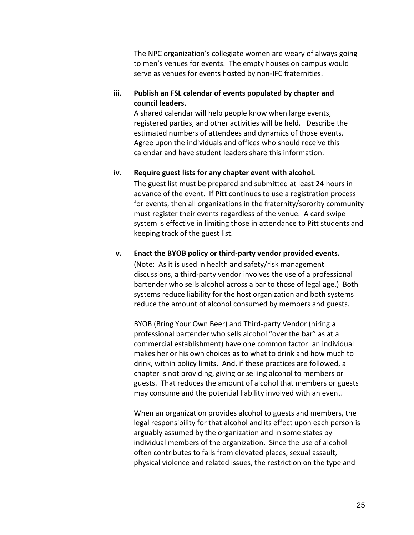The NPC organization's collegiate women are weary of always going to men's venues for events. The empty houses on campus would serve as venues for events hosted by non-IFC fraternities.

### **iii. Publish an FSL calendar of events populated by chapter and council leaders.**

A shared calendar will help people know when large events, registered parties, and other activities will be held. Describe the estimated numbers of attendees and dynamics of those events. Agree upon the individuals and offices who should receive this calendar and have student leaders share this information.

### **iv. Require guest lists for any chapter event with alcohol.**

The guest list must be prepared and submitted at least 24 hours in advance of the event. If Pitt continues to use a registration process for events, then all organizations in the fraternity/sorority community must register their events regardless of the venue. A card swipe system is effective in limiting those in attendance to Pitt students and keeping track of the guest list.

### **v. Enact the BYOB policy or third-party vendor provided events.**

(Note: As it is used in health and safety/risk management discussions, a third-party vendor involves the use of a professional bartender who sells alcohol across a bar to those of legal age.) Both systems reduce liability for the host organization and both systems reduce the amount of alcohol consumed by members and guests.

BYOB (Bring Your Own Beer) and Third-party Vendor (hiring a professional bartender who sells alcohol "over the bar" as at a commercial establishment) have one common factor: an individual makes her or his own choices as to what to drink and how much to drink, within policy limits. And, if these practices are followed, a chapter is not providing, giving or selling alcohol to members or guests. That reduces the amount of alcohol that members or guests may consume and the potential liability involved with an event.

When an organization provides alcohol to guests and members, the legal responsibility for that alcohol and its effect upon each person is arguably assumed by the organization and in some states by individual members of the organization. Since the use of alcohol often contributes to falls from elevated places, sexual assault, physical violence and related issues, the restriction on the type and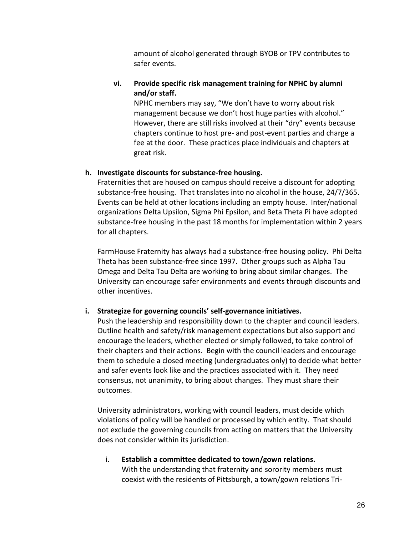amount of alcohol generated through BYOB or TPV contributes to safer events.

# **vi. Provide specific risk management training for NPHC by alumni and/or staff.**

NPHC members may say, "We don't have to worry about risk management because we don't host huge parties with alcohol." However, there are still risks involved at their "dry" events because chapters continue to host pre- and post-event parties and charge a fee at the door. These practices place individuals and chapters at great risk.

# **h. Investigate discounts for substance-free housing.**

Fraternities that are housed on campus should receive a discount for adopting substance-free housing. That translates into no alcohol in the house, 24/7/365. Events can be held at other locations including an empty house. Inter/national organizations Delta Upsilon, Sigma Phi Epsilon, and Beta Theta Pi have adopted substance-free housing in the past 18 months for implementation within 2 years for all chapters.

FarmHouse Fraternity has always had a substance-free housing policy. Phi Delta Theta has been substance-free since 1997. Other groups such as Alpha Tau Omega and Delta Tau Delta are working to bring about similar changes. The University can encourage safer environments and events through discounts and other incentives.

# **i. Strategize for governing councils' self-governance initiatives.**

Push the leadership and responsibility down to the chapter and council leaders. Outline health and safety/risk management expectations but also support and encourage the leaders, whether elected or simply followed, to take control of their chapters and their actions. Begin with the council leaders and encourage them to schedule a closed meeting (undergraduates only) to decide what better and safer events look like and the practices associated with it. They need consensus, not unanimity, to bring about changes. They must share their outcomes.

University administrators, working with council leaders, must decide which violations of policy will be handled or processed by which entity. That should not exclude the governing councils from acting on matters that the University does not consider within its jurisdiction.

# i. **Establish a committee dedicated to town/gown relations.** With the understanding that fraternity and sorority members must coexist with the residents of Pittsburgh, a town/gown relations Tri-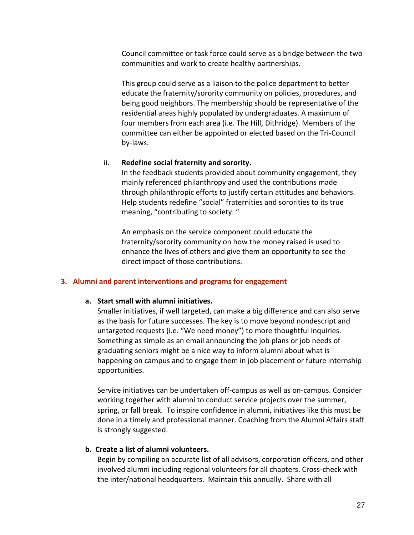Council committee or task force could serve as a bridge between the two communities and work to create healthy partnerships.

This group could serve as a liaison to the police department to better educate the fraternity/sorority community on policies, procedures, and being good neighbors. The membership should be representative of the residential areas highly populated by undergraduates. A maximum of four members from each area (i.e. The Hill, Dithridge). Members of the committee can either be appointed or elected based on the Tri-Council by-laws.

#### ii. **Redefine social fraternity and sorority.**

In the feedback students provided about community engagement, they mainly referenced philanthropy and used the contributions made through philanthropic efforts to justify certain attitudes and behaviors. Help students redefine "social" fraternities and sororities to its true meaning, "contributing to society. "

An emphasis on the service component could educate the fraternity/sorority community on how the money raised is used to enhance the lives of others and give them an opportunity to see the direct impact of those contributions.

#### **3. Alumni and parent interventions and programs for engagement**

#### **a. Start small with alumni initiatives.**

Smaller initiatives, if well targeted, can make a big difference and can also serve as the basis for future successes. The key is to move beyond nondescript and untargeted requests (i.e. "We need money") to more thoughtful inquiries. Something as simple as an email announcing the job plans or job needs of graduating seniors might be a nice way to inform alumni about what is happening on campus and to engage them in job placement or future internship opportunities.

Service initiatives can be undertaken off-campus as well as on-campus. Consider working together with alumni to conduct service projects over the summer, spring, or fall break. To inspire confidence in alumni, initiatives like this must be done in a timely and professional manner. Coaching from the Alumni Affairs staff is strongly suggested.

### **b. Create a list of alumni volunteers.**

Begin by compiling an accurate list of all advisors, corporation officers, and other involved alumni including regional volunteers for all chapters. Cross-check with the inter/national headquarters. Maintain this annually. Share with all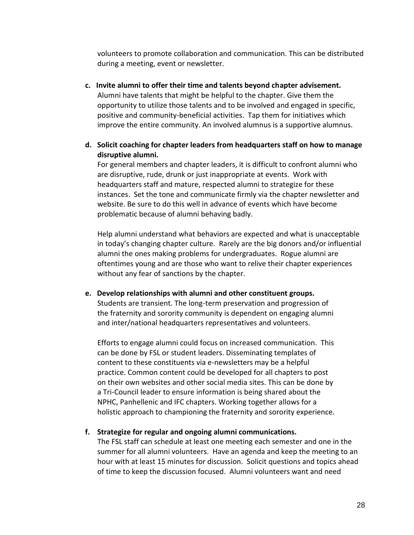volunteers to promote collaboration and communication. This can be distributed during a meeting, event or newsletter.

- **c. Invite alumni to offer their time and talents beyond chapter advisement.** Alumni have talents that might be helpful to the chapter. Give them the opportunity to utilize those talents and to be involved and engaged in specific, positive and community-beneficial activities. Tap them for initiatives which improve the entire community. An involved alumnus is a supportive alumnus.
- **d. Solicit coaching for chapter leaders from headquarters staff on how to manage disruptive alumni.**

For general members and chapter leaders, it is difficult to confront alumni who are disruptive, rude, drunk or just inappropriate at events. Work with headquarters staff and mature, respected alumni to strategize for these instances. Set the tone and communicate firmly via the chapter newsletter and website. Be sure to do this well in advance of events which have become problematic because of alumni behaving badly.

Help alumni understand what behaviors are expected and what is unacceptable in today's changing chapter culture. Rarely are the big donors and/or influential alumni the ones making problems for undergraduates. Rogue alumni are oftentimes young and are those who want to relive their chapter experiences without any fear of sanctions by the chapter.

**e. Develop relationships with alumni and other constituent groups.**  Students are transient. The long-term preservation and progression of the fraternity and sorority community is dependent on engaging alumni and inter/national headquarters representatives and volunteers.

Efforts to engage alumni could focus on increased communication. This can be done by FSL or student leaders. Disseminating templates of content to these constituents via e-newsletters may be a helpful practice. Common content could be developed for all chapters to post on their own websites and other social media sites. This can be done by a Tri-Council leader to ensure information is being shared about the NPHC, Panhellenic and IFC chapters. Working together allows for a holistic approach to championing the fraternity and sorority experience.

### **f. Strategize for regular and ongoing alumni communications.**

The FSL staff can schedule at least one meeting each semester and one in the summer for all alumni volunteers. Have an agenda and keep the meeting to an hour with at least 15 minutes for discussion. Solicit questions and topics ahead of time to keep the discussion focused. Alumni volunteers want and need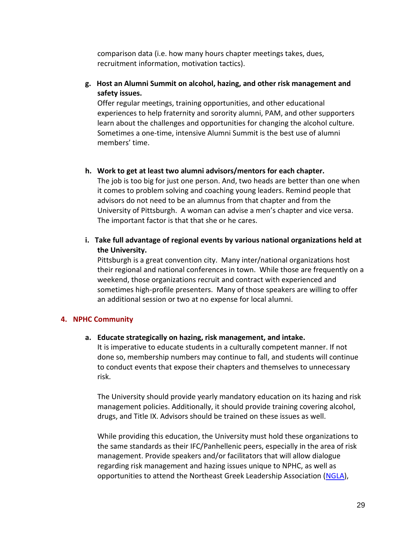comparison data (i.e. how many hours chapter meetings takes, dues, recruitment information, motivation tactics).

### **g. Host an Alumni Summit on alcohol, hazing, and other risk management and safety issues.**

Offer regular meetings, training opportunities, and other educational experiences to help fraternity and sorority alumni, PAM, and other supporters learn about the challenges and opportunities for changing the alcohol culture. Sometimes a one-time, intensive Alumni Summit is the best use of alumni members' time.

### **h. Work to get at least two alumni advisors/mentors for each chapter.**

The job is too big for just one person. And, two heads are better than one when it comes to problem solving and coaching young leaders. Remind people that advisors do not need to be an alumnus from that chapter and from the University of Pittsburgh. A woman can advise a men's chapter and vice versa. The important factor is that that she or he cares.

# **i. Take full advantage of regional events by various national organizations held at the University.**

Pittsburgh is a great convention city. Many inter/national organizations host their regional and national conferences in town. While those are frequently on a weekend, those organizations recruit and contract with experienced and sometimes high-profile presenters. Many of those speakers are willing to offer an additional session or two at no expense for local alumni.

# **4. NPHC Community**

### **a. Educate strategically on hazing, risk management, and intake.**

It is imperative to educate students in a culturally competent manner. If not done so, membership numbers may continue to fall, and students will continue to conduct events that expose their chapters and themselves to unnecessary risk.

The University should provide yearly mandatory education on its hazing and risk management policies. Additionally, it should provide training covering alcohol, drugs, and Title IX. Advisors should be trained on these issues as well.

While providing this education, the University must hold these organizations to the same standards as their IFC/Panhellenic peers, especially in the area of risk management. Provide speakers and/or facilitators that will allow dialogue regarding risk management and hazing issues unique to NPHC, as well as opportunities to attend the Northeast Greek Leadership Association [\(NGLA\)](https://www.ngla.org/2019-ngla-annual-conference),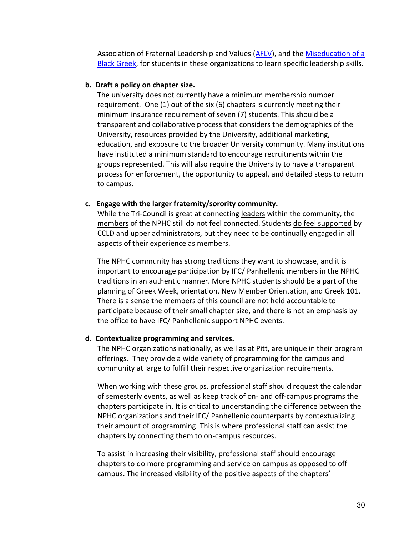Association of Fraternal Leadership and Values [\(AFLV\)](https://www.aflv.org/page/AFLVCentral), and th[e Miseducation of a](http://theharborinstitute.com/miseducation.asp)  [Black Greek,](http://theharborinstitute.com/miseducation.asp) for students in these organizations to learn specific leadership skills.

#### **b. Draft a policy on chapter size.**

The university does not currently have a minimum membership number requirement. One (1) out of the six (6) chapters is currently meeting their minimum insurance requirement of seven (7) students. This should be a transparent and collaborative process that considers the demographics of the University, resources provided by the University, additional marketing, education, and exposure to the broader University community. Many institutions have instituted a minimum standard to encourage recruitments within the groups represented. This will also require the University to have a transparent process for enforcement, the opportunity to appeal, and detailed steps to return to campus.

#### **c. Engage with the larger fraternity/sorority community.**

While the Tri-Council is great at connecting leaders within the community, the members of the NPHC still do not feel connected. Students do feel supported by CCLD and upper administrators, but they need to be continually engaged in all aspects of their experience as members.

The NPHC community has strong traditions they want to showcase, and it is important to encourage participation by IFC/ Panhellenic members in the NPHC traditions in an authentic manner. More NPHC students should be a part of the planning of Greek Week, orientation, New Member Orientation, and Greek 101. There is a sense the members of this council are not held accountable to participate because of their small chapter size, and there is not an emphasis by the office to have IFC/ Panhellenic support NPHC events.

### **d. Contextualize programming and services.**

The NPHC organizations nationally, as well as at Pitt, are unique in their program offerings. They provide a wide variety of programming for the campus and community at large to fulfill their respective organization requirements.

When working with these groups, professional staff should request the calendar of semesterly events, as well as keep track of on- and off-campus programs the chapters participate in. It is critical to understanding the difference between the NPHC organizations and their IFC/ Panhellenic counterparts by contextualizing their amount of programming. This is where professional staff can assist the chapters by connecting them to on-campus resources.

To assist in increasing their visibility, professional staff should encourage chapters to do more programming and service on campus as opposed to off campus. The increased visibility of the positive aspects of the chapters'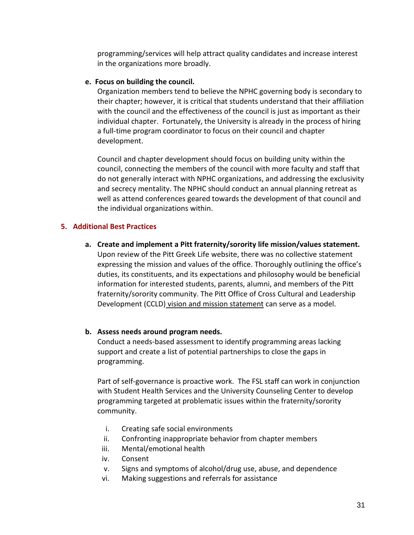programming/services will help attract quality candidates and increase interest in the organizations more broadly.

### **e. Focus on building the council.**

Organization members tend to believe the NPHC governing body is secondary to their chapter; however, it is critical that students understand that their affiliation with the council and the effectiveness of the council is just as important as their individual chapter. Fortunately, the University is already in the process of hiring a full-time program coordinator to focus on their council and chapter development.

Council and chapter development should focus on building unity within the council, connecting the members of the council with more faculty and staff that do not generally interact with NPHC organizations, and addressing the exclusivity and secrecy mentality. The NPHC should conduct an annual planning retreat as well as attend conferences geared towards the development of that council and the individual organizations within.

#### **5. Additional Best Practices**

**a. Create and implement a Pitt fraternity/sorority life mission/values statement.** Upon review of the Pitt Greek Life website, there was no collective statement expressing the mission and values of the office. Thoroughly outlining the office's duties, its constituents, and its expectations and philosophy would be beneficial information for interested students, parents, alumni, and members of the Pitt fraternity/sorority community. The Pitt Office of Cross Cultural and Leadership Development (CCLD) [vision and mission statement](https://www.studentaffairs.pitt.edu/ccld/about/) can serve as a model.

#### **b. Assess needs around program needs.**

Conduct a needs-based assessment to identify programming areas lacking support and create a list of potential partnerships to close the gaps in programming.

Part of self-governance is proactive work. The FSL staff can work in conjunction with Student Health Services and the University Counseling Center to develop programming targeted at problematic issues within the fraternity/sorority community.

- i. Creating safe social environments
- ii. Confronting inappropriate behavior from chapter members
- iii. Mental/emotional health
- iv. Consent
- v. Signs and symptoms of alcohol/drug use, abuse, and dependence
- vi. Making suggestions and referrals for assistance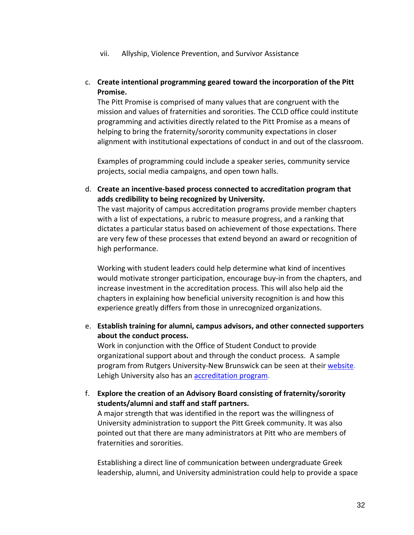- vii. Allyship, Violence Prevention, and Survivor Assistance
- c. **Create intentional programming geared toward the incorporation of the Pitt Promise.**

The Pitt Promise is comprised of many values that are congruent with the mission and values of fraternities and sororities. The CCLD office could institute programming and activities directly related to the Pitt Promise as a means of helping to bring the fraternity/sorority community expectations in closer alignment with institutional expectations of conduct in and out of the classroom.

Examples of programming could include a speaker series, community service projects, social media campaigns, and open town halls.

d. **Create an incentive-based process connected to accreditation program that adds credibility to being recognized by University.**

The vast majority of campus accreditation programs provide member chapters with a list of expectations, a rubric to measure progress, and a ranking that dictates a particular status based on achievement of those expectations. There are very few of these processes that extend beyond an award or recognition of high performance.

Working with student leaders could help determine what kind of incentives would motivate stronger participation, encourage buy-in from the chapters, and increase investment in the accreditation process. This will also help aid the chapters in explaining how beneficial university recognition is and how this experience greatly differs from those in unrecognized organizations.

e. **Establish training for alumni, campus advisors, and other connected supporters about the conduct process.**

Work in conjunction with the Office of Student Conduct to provide organizational support about and through the conduct process. A sample program from Rutgers University-New Brunswick can be seen at thei[r website.](http://studentconduct.rutgers.edu/student-conduct-processes/campus-advisors/) Lehigh University also has an [accreditation program.](https://studentaffairs.lehigh.edu/content/accreditation)

f. **Explore the creation of an Advisory Board consisting of fraternity/sorority students/alumni and staff and staff partners.**

A major strength that was identified in the report was the willingness of University administration to support the Pitt Greek community. It was also pointed out that there are many administrators at Pitt who are members of fraternities and sororities.

Establishing a direct line of communication between undergraduate Greek leadership, alumni, and University administration could help to provide a space